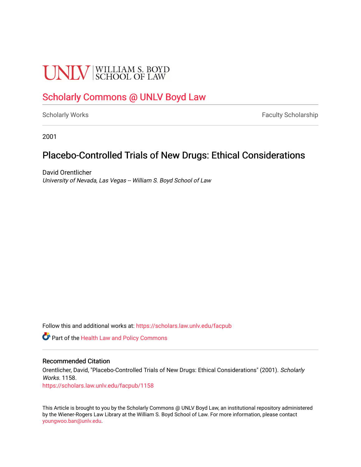# **UNLV** SCHOOL OF LAW

## [Scholarly Commons @ UNLV Boyd Law](https://scholars.law.unlv.edu/)

[Scholarly Works](https://scholars.law.unlv.edu/facpub) **Faculty Scholarship** Faculty Scholarship

2001

### Placebo-Controlled Trials of New Drugs: Ethical Considerations

David Orentlicher University of Nevada, Las Vegas -- William S. Boyd School of Law

Follow this and additional works at: [https://scholars.law.unlv.edu/facpub](https://scholars.law.unlv.edu/facpub?utm_source=scholars.law.unlv.edu%2Ffacpub%2F1158&utm_medium=PDF&utm_campaign=PDFCoverPages)

**C** Part of the Health Law and Policy Commons

#### Recommended Citation

Orentlicher, David, "Placebo-Controlled Trials of New Drugs: Ethical Considerations" (2001). Scholarly Works. 1158. [https://scholars.law.unlv.edu/facpub/1158](https://scholars.law.unlv.edu/facpub/1158?utm_source=scholars.law.unlv.edu%2Ffacpub%2F1158&utm_medium=PDF&utm_campaign=PDFCoverPages) 

This Article is brought to you by the Scholarly Commons @ UNLV Boyd Law, an institutional repository administered by the Wiener-Rogers Law Library at the William S. Boyd School of Law. For more information, please contact [youngwoo.ban@unlv.edu.](mailto:youngwoo.ban@unlv.edu)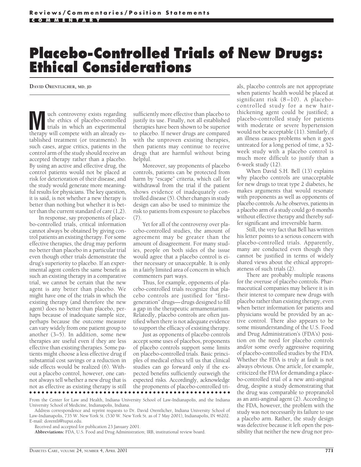## **Placebo-Controlled Trials of New Drugs: Ethical Considerations**

**DAVID ORENTLICHER, MD, JD**

with controversy exists regarding<br>the ethics of placebo-controlled<br>trials in which an experimental<br>therany will compete with an already esthe ethics of placebo-controlled trials in which an experimental therapy will compete with an already established treatment (or treatments). In such cases, argue critics, patients in the control arm of the study should receive an accepted therapy rather than a placebo. By using an active and effective drug, the control patients would not be placed at risk for deterioration of their disease, and the study would generate more meaningful results for physicians. The key question, it is said, is not whether a new therapy is better than nothing but whether it is better than the current standard of care (1,2).

In response, say proponents of placebo-controlled trials, critical information cannot always be obtained by giving control patients an existing therapy. For some effective therapies, the drug may perform no better than placebo in a particular trial even though other trials demonstrate the drug's superiority to placebo. If an experimental agent confers the same benefit as such an existing therapy in a comparative trial, we cannot be certain that the new agent is any better than placebo. We might have one of the trials in which the existing therapy (and therefore the new agent) does no better than placebo, perhaps because of inadequate sample size, perhaps because the outcome measure can vary widely from one patient group to another (3–5). In addition, some new therapies are useful even if they are less effective than existing therapies. Some patients might choose a less effective drug if substantial cost savings or a reduction in side effects would be realized (6). Without a placebo control, however, one cannot always tell whether a new drug that is not as effective as existing therapy is still sufficiently more effective than placebo to justify its use. Finally, not all established therapies have been shown to be superior to placebo. If newer drugs are compared with the unproven existing therapies, then patients may continue to receive drugs that are harmful without being helpful.

Moreover, say proponents of placebo controls, patients can be protected from harm by "escape" criteria, which call for withdrawal from the trial if the patient shows evidence of inadequately controlled disease (5). Other changes in study design can also be used to minimize the risk to patients from exposure to placebos (7).

Yet for all of the controversy over placebo-controlled studies, the amount of agreement may be greater than the amount of disagreement. For many studies, people on both sides of the issue would agree that a placebo control is either necessary or unacceptable. It is only in a fairly limited area of concern in which commenters part ways.

Thus, for example, opponents of placebo-controlled trials recognize that placebo controls are justified for "firstgeneration" drugs—drugs designed to fill a gap in the therapeutic armamentarium. Relatedly, placebo controls are often justified when there is not adequate evidence to support the efficacy of existing therapy.

Just as opponents of placebo controls accept some uses of placebos, proponents of placebo controls support some limits on placebo-controlled trials. Basic principles of medical ethics tell us that clinical studies can go forward only if the expected benefits sufficiently outweigh the expected risks. Accordingly, acknowledge the proponents of placebo-controlled tri-●●●●●●●●●●●●●●●●●●●●●●●●●●●●●●●●●●●●●●●●●●●●●●●●●

als, placebo controls are not appropriate when patients' health would be placed at significant risk (8–10). A placebocontrolled study for a new hairthickening agent could be justified; a placebo-controlled study for patients with moderate or severe hypertension would not be acceptable (11). Similarly, if an illness causes problems when it goes untreated for a long period of time, a 52 week study with a placebo control is much more difficult to justify than a 6-week study (12).

When David S.H. Bell (13) explains why placebo controls are unacceptable for new drugs to treat type 2 diabetes, he makes arguments that would resonate with proponents as well as opponents of placebo controls. As he observes, patients in a placebo arm of a study could go 6 months without effective therapy and thereby suffer significant and irreversible harm.

Still, the very fact that Bell has written his letter points to a serious concern with placebo-controlled trials. Apparently, many are conducted even though they cannot be justified in terms of widely shared views about the ethical appropriateness of such trials (2).

There are probably multiple reasons for the overuse of placebo controls. Pharmaceutical companies may believe it is in their interest to compare new drugs with placebo rather than existing therapy, even when better information for patients and physicians would be provided by an active control. There also appears to be some misunderstanding of the U.S. Food and Drug Administration's (FDA's) position on the need for placebo controls and/or some overly aggressive requiring of placebo-controlled studies by the FDA. Whether the FDA is truly at fault is not always obvious. One article, for example, criticized the FDA for demanding a placebo-controlled trial of a new anti-anginal drug, despite a study demonstrating that the drug was comparable to propranolol as an anti-anginal agent (2). According to the FDA, however, the problem with the study was not necessarily its failure to use a placebo arm. Rather, the study design was defective because it left open the possibility that neither the new drug nor pro-

From the Center for Law and Health, Indiana University School of Law-Indianapolis, and the Indiana University School of Medicine, Indianapolis, Indiana.

Address correspondence and reprint requests to Dr. David Orentlicher, Indiana University School of Law-Indianapolis, 735 W. New York St. (530 W. New York St. as of 7 May 2001), Indianapolis, IN 46202. E-mail: dorentli@iupui.edu.

Received and accepted for publication 23 January 2001.

**Abbreviations:** FDA, U.S. Food and Drug Administration; IRB, institutional review board.